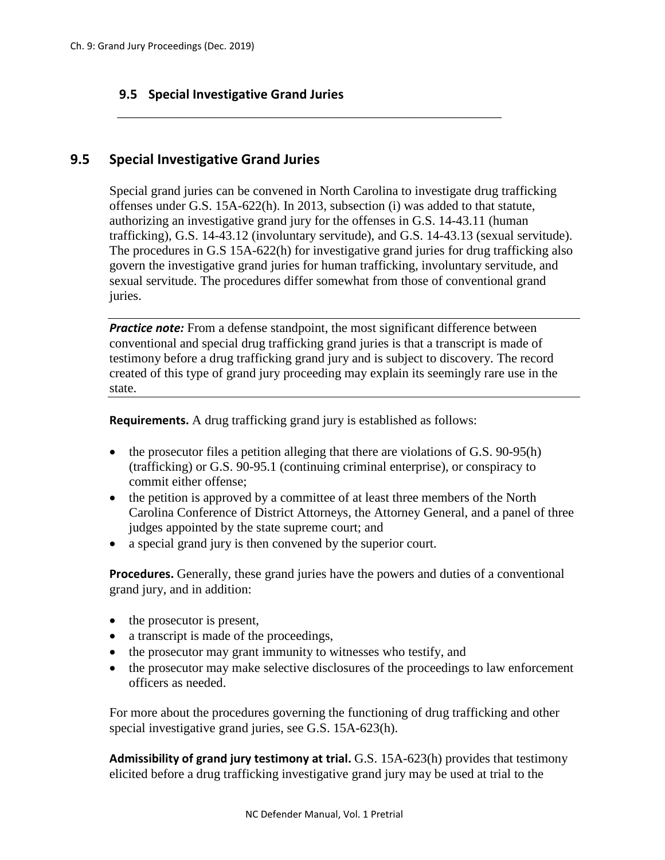## **9.5 Special Investigative Grand Juries**

## **9.5 Special Investigative Grand Juries**

Special grand juries can be convened in North Carolina to investigate drug trafficking offenses under G.S. 15A-622(h). In 2013, subsection (i) was added to that statute, authorizing an investigative grand jury for the offenses in G.S. 14-43.11 (human trafficking), G.S. 14-43.12 (involuntary servitude), and G.S. 14-43.13 (sexual servitude). The procedures in G.S 15A-622(h) for investigative grand juries for drug trafficking also govern the investigative grand juries for human trafficking, involuntary servitude, and sexual servitude. The procedures differ somewhat from those of conventional grand juries.

\_\_\_\_\_\_\_\_\_\_\_\_\_\_\_\_\_\_\_\_\_\_\_\_\_\_\_\_\_\_\_\_\_\_\_\_\_\_\_\_\_\_\_\_\_\_\_\_\_\_\_\_\_\_\_\_\_\_\_

**Practice note:** From a defense standpoint, the most significant difference between conventional and special drug trafficking grand juries is that a transcript is made of testimony before a drug trafficking grand jury and is subject to discovery. The record created of this type of grand jury proceeding may explain its seemingly rare use in the state.

**Requirements.** A drug trafficking grand jury is established as follows:

- the prosecutor files a petition alleging that there are violations of G.S. 90-95(h) (trafficking) or G.S. 90-95.1 (continuing criminal enterprise), or conspiracy to commit either offense;
- the petition is approved by a committee of at least three members of the North Carolina Conference of District Attorneys, the Attorney General, and a panel of three judges appointed by the state supreme court; and
- a special grand jury is then convened by the superior court.

**Procedures.** Generally, these grand juries have the powers and duties of a conventional grand jury, and in addition:

- the prosecutor is present,
- a transcript is made of the proceedings,
- the prosecutor may grant immunity to witnesses who testify, and
- the prosecutor may make selective disclosures of the proceedings to law enforcement officers as needed.

For more about the procedures governing the functioning of drug trafficking and other special investigative grand juries, see G.S. 15A-623(h).

**Admissibility of grand jury testimony at trial.** G.S. 15A-623(h) provides that testimony elicited before a drug trafficking investigative grand jury may be used at trial to the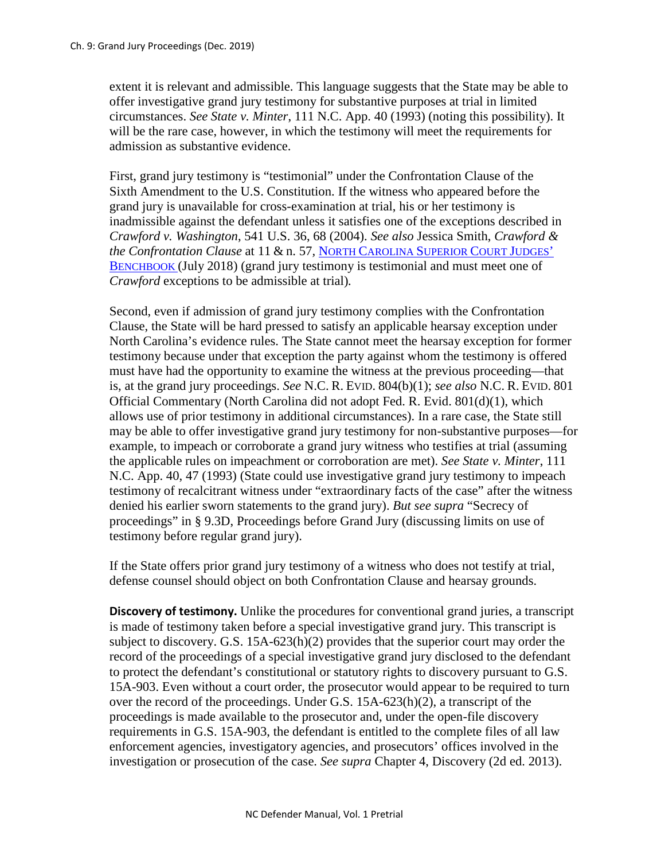extent it is relevant and admissible. This language suggests that the State may be able to offer investigative grand jury testimony for substantive purposes at trial in limited circumstances. *See State v. Minter*, 111 N.C. App. 40 (1993) (noting this possibility). It will be the rare case, however, in which the testimony will meet the requirements for admission as substantive evidence.

First, grand jury testimony is "testimonial" under the Confrontation Clause of the Sixth Amendment to the U.S. Constitution. If the witness who appeared before the grand jury is unavailable for cross-examination at trial, his or her testimony is inadmissible against the defendant unless it satisfies one of the exceptions described in *Crawford v. Washington*, 541 U.S. 36, 68 (2004). *See also* Jessica Smith, *Crawford & the Confrontation Clause* at 11 & n. 57*,* NORTH CAROLINA [SUPERIOR COURT JUDGES'](https://benchbook.sog.unc.edu/evidence/guide-crawford-confrontation-clause) [BENCHBOOK](https://benchbook.sog.unc.edu/evidence/guide-crawford-confrontation-clause) (July 2018) (grand jury testimony is testimonial and must meet one of *Crawford* exceptions to be admissible at trial)*.*

Second, even if admission of grand jury testimony complies with the Confrontation Clause, the State will be hard pressed to satisfy an applicable hearsay exception under North Carolina's evidence rules. The State cannot meet the hearsay exception for former testimony because under that exception the party against whom the testimony is offered must have had the opportunity to examine the witness at the previous proceeding—that is, at the grand jury proceedings. *See* N.C. R. EVID. 804(b)(1); *see also* N.C. R. EVID. 801 Official Commentary (North Carolina did not adopt Fed. R. Evid. 801(d)(1), which allows use of prior testimony in additional circumstances). In a rare case, the State still may be able to offer investigative grand jury testimony for non-substantive purposes—for example, to impeach or corroborate a grand jury witness who testifies at trial (assuming the applicable rules on impeachment or corroboration are met). *See State v. Minter*, 111 N.C. App. 40, 47 (1993) (State could use investigative grand jury testimony to impeach testimony of recalcitrant witness under "extraordinary facts of the case" after the witness denied his earlier sworn statements to the grand jury). *But see supra* "Secrecy of proceedings" in § 9.3D, Proceedings before Grand Jury (discussing limits on use of testimony before regular grand jury).

If the State offers prior grand jury testimony of a witness who does not testify at trial, defense counsel should object on both Confrontation Clause and hearsay grounds.

**Discovery of testimony.** Unlike the procedures for conventional grand juries, a transcript is made of testimony taken before a special investigative grand jury. This transcript is subject to discovery. G.S. 15A-623(h)(2) provides that the superior court may order the record of the proceedings of a special investigative grand jury disclosed to the defendant to protect the defendant's constitutional or statutory rights to discovery pursuant to G.S. 15A-903. Even without a court order, the prosecutor would appear to be required to turn over the record of the proceedings. Under G.S. 15A-623(h)(2), a transcript of the proceedings is made available to the prosecutor and, under the open-file discovery requirements in G.S. 15A-903, the defendant is entitled to the complete files of all law enforcement agencies, investigatory agencies, and prosecutors' offices involved in the investigation or prosecution of the case. *See supra* Chapter 4, Discovery (2d ed. 2013).